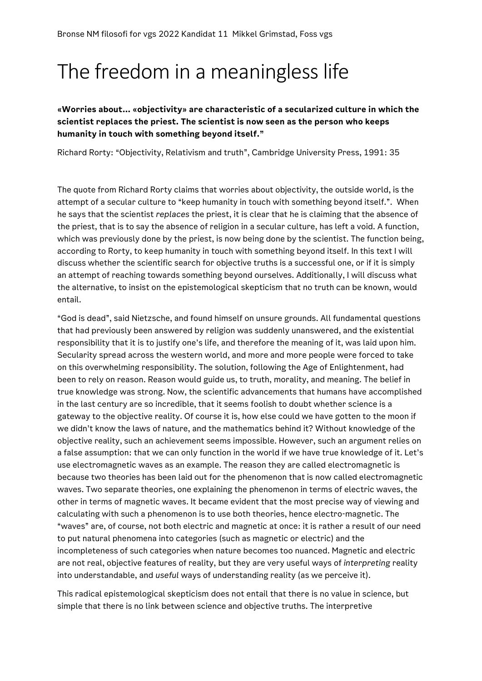## The freedom in a meaningless life

**«Worries about… «objectivity» are characteristic of a secularized culture in which the scientist replaces the priest. The scientist is now seen as the person who keeps humanity in touch with something beyond itself."**

Richard Rorty: "Objectivity, Relativism and truth", Cambridge University Press, 1991: 35

The quote from Richard Rorty claims that worries about objectivity, the outside world, is the attempt of a secular culture to "keep humanity in touch with something beyond itself.". When he says that the scientist *replaces* the priest, it is clear that he is claiming that the absence of the priest, that is to say the absence of religion in a secular culture, has left a void. A function, which was previously done by the priest, is now being done by the scientist. The function being, according to Rorty, to keep humanity in touch with something beyond itself. In this text I will discuss whether the scientific search for objective truths is a successful one, or if it is simply an attempt of reaching towards something beyond ourselves. Additionally, I will discuss what the alternative, to insist on the epistemological skepticism that no truth can be known, would entail.

"God is dead", said Nietzsche, and found himself on unsure grounds. All fundamental questions that had previously been answered by religion was suddenly unanswered, and the existential responsibility that it is to justify one's life, and therefore the meaning of it, was laid upon him. Secularity spread across the western world, and more and more people were forced to take on this overwhelming responsibility. The solution, following the Age of Enlightenment, had been to rely on reason. Reason would guide us, to truth, morality, and meaning. The belief in true knowledge was strong. Now, the scientific advancements that humans have accomplished in the last century are so incredible, that it seems foolish to doubt whether science is a gateway to the objective reality. Of course it is, how else could we have gotten to the moon if we didn't know the laws of nature, and the mathematics behind it? Without knowledge of the objective reality, such an achievement seems impossible. However, such an argument relies on a false assumption: that we can only function in the world if we have true knowledge of it. Let's use electromagnetic waves as an example. The reason they are called electromagnetic is because two theories has been laid out for the phenomenon that is now called electromagnetic waves. Two separate theories, one explaining the phenomenon in terms of electric waves, the other in terms of magnetic waves. It became evident that the most precise way of viewing and calculating with such a phenomenon is to use both theories, hence electro-magnetic. The "waves" are, of course, not both electric and magnetic at once: it is rather a result of our need to put natural phenomena into categories (such as magnetic or electric) and the incompleteness of such categories when nature becomes too nuanced. Magnetic and electric are not real, objective features of reality, but they are very useful ways of *interpreting* reality into understandable, and *useful* ways of understanding reality (as we perceive it).

This radical epistemological skepticism does not entail that there is no value in science, but simple that there is no link between science and objective truths. The interpretive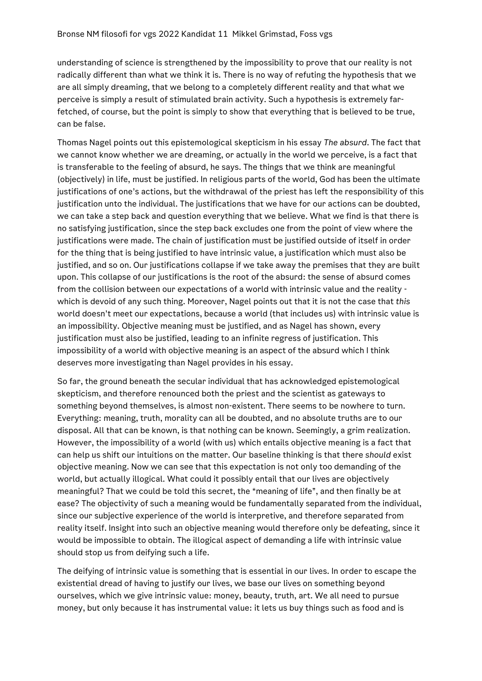understanding of science is strengthened by the impossibility to prove that our reality is not radically different than what we think it is. There is no way of refuting the hypothesis that we are all simply dreaming, that we belong to a completely different reality and that what we perceive is simply a result of stimulated brain activity. Such a hypothesis is extremely farfetched, of course, but the point is simply to show that everything that is believed to be true, can be false.

Thomas Nagel points out this epistemological skepticism in his essay *The absurd*. The fact that we cannot know whether we are dreaming, or actually in the world we perceive, is a fact that is transferable to the feeling of absurd, he says. The things that we think are meaningful (objectively) in life, must be justified. In religious parts of the world, God has been the ultimate justifications of one's actions, but the withdrawal of the priest has left the responsibility of this justification unto the individual. The justifications that we have for our actions can be doubted, we can take a step back and question everything that we believe. What we find is that there is no satisfying justification, since the step back excludes one from the point of view where the justifications were made. The chain of justification must be justified outside of itself in order for the thing that is being justified to have intrinsic value, a justification which must also be justified, and so on. Our justifications collapse if we take away the premises that they are built upon. This collapse of our justifications is the root of the absurd: the sense of absurd comes from the collision between our expectations of a world with intrinsic value and the reality which is devoid of any such thing. Moreover, Nagel points out that it is not the case that *this* world doesn't meet our expectations, because a world (that includes us) with intrinsic value is an impossibility. Objective meaning must be justified, and as Nagel has shown, every justification must also be justified, leading to an infinite regress of justification. This impossibility of a world with objective meaning is an aspect of the absurd which I think deserves more investigating than Nagel provides in his essay.

So far, the ground beneath the secular individual that has acknowledged epistemological skepticism, and therefore renounced both the priest and the scientist as gateways to something beyond themselves, is almost non-existent. There seems to be nowhere to turn. Everything: meaning, truth, morality can all be doubted, and no absolute truths are to our disposal. All that can be known, is that nothing can be known. Seemingly, a grim realization. However, the impossibility of a world (with us) which entails objective meaning is a fact that can help us shift our intuitions on the matter. Our baseline thinking is that there *should* exist objective meaning. Now we can see that this expectation is not only too demanding of the world, but actually illogical. What could it possibly entail that our lives are objectively meaningful? That we could be told this secret, the "meaning of life", and then finally be at ease? The objectivity of such a meaning would be fundamentally separated from the individual, since our subjective experience of the world is interpretive, and therefore separated from reality itself. Insight into such an objective meaning would therefore only be defeating, since it would be impossible to obtain. The illogical aspect of demanding a life with intrinsic value should stop us from deifying such a life.

The deifying of intrinsic value is something that is essential in our lives. In order to escape the existential dread of having to justify our lives, we base our lives on something beyond ourselves, which we give intrinsic value: money, beauty, truth, art. We all need to pursue money, but only because it has instrumental value: it lets us buy things such as food and is